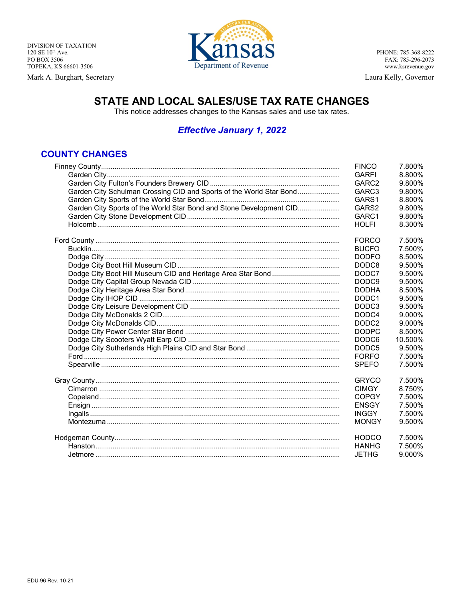Mark A. Burghart, Secretary



PHONE: 785-368-8222 FAX: 785-296-2073 www.ksrevenue.gov

Laura Kelly, Governor

## STATE AND LOCAL SALES/USE TAX RATE CHANGES

This notice addresses changes to the Kansas sales and use tax rates.

## **Effective January 1, 2022**

## **COUNTY CHANGES**

|                                                                     | <b>FINCO</b>      | 7.800%  |
|---------------------------------------------------------------------|-------------------|---------|
|                                                                     | <b>GARFI</b>      | 8.800%  |
|                                                                     | GARC2             | 9.800%  |
| Garden City Schulman Crossing CID and Sports of the World Star Bond | GARC3             | 9.800%  |
|                                                                     | GARS1             | 8.800%  |
| Garden City Sports of the World Star Bond and Stone Development CID | GARS2             | 9.800%  |
|                                                                     | GARC1             | 9.800%  |
|                                                                     | <b>HOLFI</b>      | 8.300%  |
|                                                                     | <b>FORCO</b>      | 7.500%  |
|                                                                     | <b>BUCFO</b>      | 7.500%  |
|                                                                     | <b>DODFO</b>      | 8.500%  |
|                                                                     | DODC8             | 9.500%  |
|                                                                     | DODC7             | 9.500%  |
|                                                                     | DODC <sub>9</sub> | 9.500%  |
|                                                                     | <b>DODHA</b>      | 8.500%  |
|                                                                     | DODC <sub>1</sub> | 9.500%  |
|                                                                     | DODC <sub>3</sub> | 9.500%  |
|                                                                     | DODC4             | 9.000%  |
|                                                                     | DODC <sub>2</sub> | 9.000%  |
|                                                                     | <b>DODPC</b>      | 8.500%  |
|                                                                     | DODC <sub>6</sub> | 10.500% |
|                                                                     | DODC <sub>5</sub> | 9.500%  |
|                                                                     | <b>FORFO</b>      | 7.500%  |
|                                                                     | <b>SPEFO</b>      | 7.500%  |
|                                                                     | <b>GRYCO</b>      | 7.500%  |
|                                                                     | <b>CIMGY</b>      | 8.750%  |
|                                                                     | <b>COPGY</b>      | 7.500%  |
|                                                                     | <b>ENSGY</b>      | 7.500%  |
|                                                                     | <b>INGGY</b>      | 7.500%  |
|                                                                     | <b>MONGY</b>      | 9.500%  |
|                                                                     | <b>HODCO</b>      | 7.500%  |
|                                                                     | <b>HANHG</b>      | 7.500%  |
|                                                                     | <b>JETHG</b>      | 9.000%  |